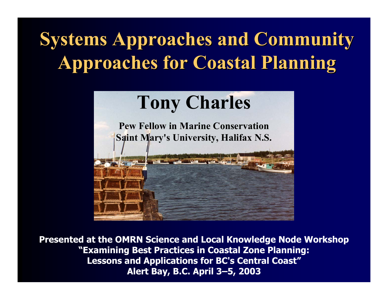### **Systems Approaches and Community Systems Approaches and Community Approaches for Coastal Planning Approaches for Coastal Planning**



**Presented at the OMRN Science and Local Knowledge Node Workshop "Examining Best Practices in Coastal Zone Planning: Lessons and Applications for BC's Central Coast" Alert Bay, B.C. April 3–5, 2003**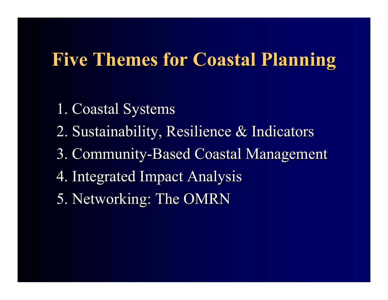#### **Five Themes for Coastal Planning Five Themes for Coastal Planning**

- 1. Coastal Systems 1. Coastal Systems
- 2. Sustainability, Resilience & Indicators 2. Sustainability, Resilience & Indicators
- 3. Community-Based Coastal Management
- 4. Integrated Impact Analysis 4. Integrated Impact Analysis
- 5. Networking: The OMRN 5. Networking: The OMRN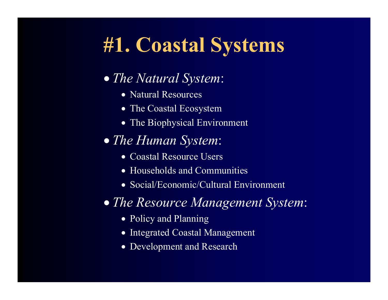### **#1. Coastal Systems**

#### • *The Natural System*:

- Natural Resources
- The Coastal Ecosystem
- The Biophysical Environment

#### • *The Human System*:

- Coastal Resource Users
- Households and Communities
- Social/Economic/Cultural Environment

#### • *The Resource Management System*:

- Policy and Planning
- Integrated Coastal Management
- •Development and Research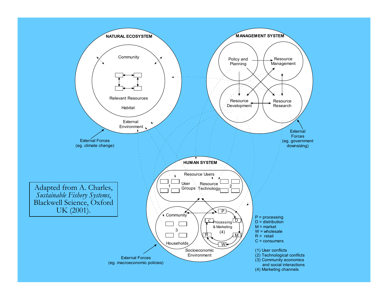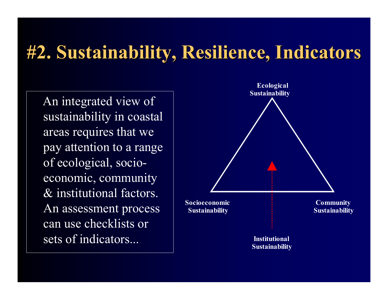#### **#2. Sustainability, Resilience, Indicators #2. Sustainability, Resilience, Indicators**

An integrated view of sustainability in coastal areas requires that we pay attention to a range of ecological, socioeconomic, community & institutional factors. An assessment process can use checklists or sets of indicators...

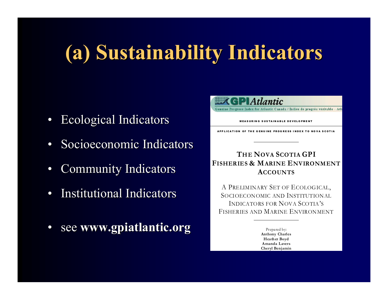## **(a) Sustainability Indicators (a) Sustainability Indicators**

- •Ecological Indicators Ecological Indicators
- Socioeconomic Indicators
- •Community Indicators Community Indicators
- $\bullet$ • Institutional Indicators
- •see **www.gpiatlantic.org www.gpiatlantic.org**



SOCIOECONOMIC AND INSTITUTIONALINDICATORS FOR NOVA SCOTIA'SFISHERIES AND MARINE ENVIRONMENT

> Prepared by: **Anthony Charles Heath er Boyd A manda LaversCheryl Benjamin**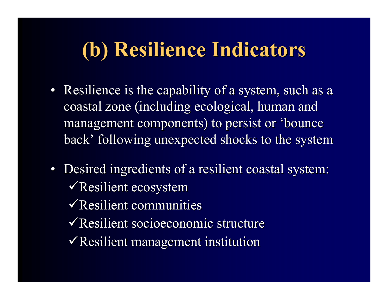### **(b) Resilience Indicators (b) Resilience Indicators**

- Resilience is the capability of a system, such as a coastal zone (including ecological, human and management components) to persist or 'bounce back' following unexpected shocks to the system
- Desired ingredients of a resilient coastal system:  $\sqrt{\text{Resilient ecosystem}}$ 
	- $\sqrt{\text{Resilient communities}}$
	- $\sqrt{\text{Resilient} \text{socioeconomic} }$  structure
	- $\sqrt{\text{Resilient management} }$  institution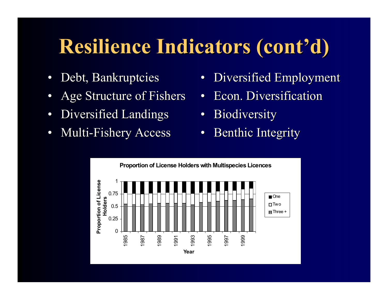## **Resilience Indicators (cont Resilience Indicators (cont 'd)**

- •Debt, Bankruptcies
- $\bullet$ Age Structure of Fishers
- $\bullet$ Diversified Landings
- •• Multi-Fishery Access
- •Diversified Employment
- •• Econ. Diversification
- •**Biodiversity**
- •Benthic Integrity

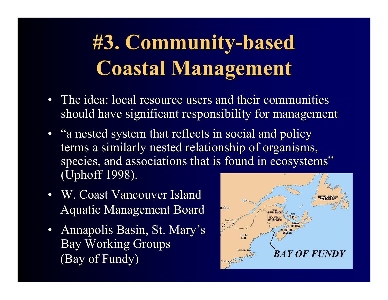# **#3. Community #3. Community-based based Coastal Management Coastal Management**

- The idea: local resource users and their communities should have significant responsibility for management
- "a nested system that reflects in social and policy terms a similarly nested relationship of organisms, species, and associations that is found in ecosystems" (Uphoff 1998).
- W. Coast Vancouver Island Aquatic Management Board
- Annapolis Basin, St. Mary's Bay Working Groups (Bay of Fundy) (Bay of Fundy)

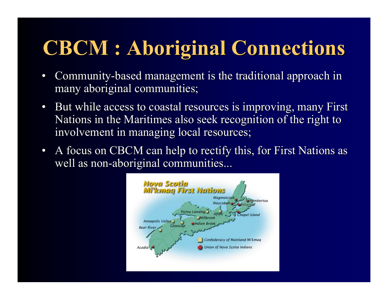## **CBCM : Aboriginal Connections CBCM : Aboriginal Connections**

- $\bullet$ • Community-based management is the traditional approach in many aboriginal communities;
- But while access to coastal resources is improving, many First Nations in the Maritimes also seek recognition of the right to involvement in managing local resources;
- A focus on CBCM can help to rectify this, for First Nations as well as non-aboriginal communities...

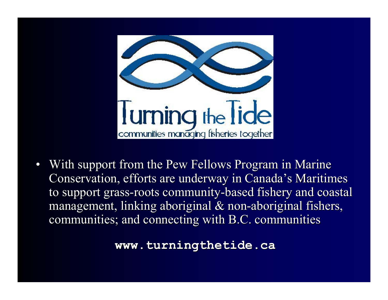

 $\bullet$ With support from the Pew Fellows Program in Marine Conservation, efforts are underway in Canada's Maritimes to support grass-roots community-based fishery and coastal management, linking aboriginal  $&$  non-aboriginal fishers, communities; and connecting with B.C. communities

**www.turningthetide.ca www.turningthetide.ca**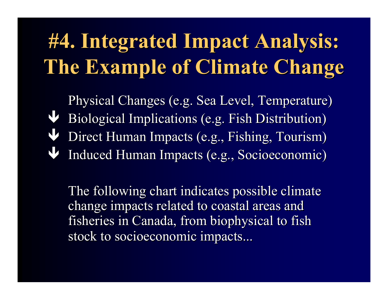# **#4. Integrated Impact Analysis: #4. Integrated Impact Analysis: The Example of Climate Change The Example of Climate Change**

Physical Changes (e.g. Sea Level, Temperature) Physical Changes (e.g. Sea Level, Temperature) ÐBiological Implications (e.g. Fish Distribution) ÐDirect Human Impacts (e.g., Fishing, Tourism) ÐInduced Human Impacts (e.g., Socioeconomic) Induced Human Impacts (e.g., Socioeconomic)

The following chart indicates possible climate change impacts related to coastal areas and fisheries in Canada, from biophysical to fish stock to socioeconomic impacts...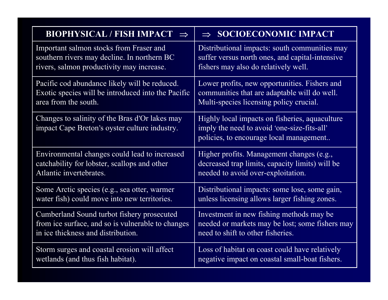| BIOPHYSICAL / FISH IMPACT $\Rightarrow$                                                         | $\Rightarrow$ SOCIOECONOMIC IMPACT                                                                                                       |
|-------------------------------------------------------------------------------------------------|------------------------------------------------------------------------------------------------------------------------------------------|
| Important salmon stocks from Fraser and                                                         | Distributional impacts: south communities may                                                                                            |
| southern rivers may decline. In northern BC                                                     | suffer versus north ones, and capital-intensive                                                                                          |
| rivers, salmon productivity may increase.                                                       | fishers may also do relatively well.                                                                                                     |
| Pacific cod abundance likely will be reduced.                                                   | Lower profits, new opportunities. Fishers and                                                                                            |
| Exotic species will be introduced into the Pacific                                              | communities that are adaptable will do well.                                                                                             |
| area from the south.                                                                            | Multi-species licensing policy crucial.                                                                                                  |
| Changes to salinity of the Bras d'Or lakes may<br>impact Cape Breton's oyster culture industry. | Highly local impacts on fisheries, aquaculture<br>imply the need to avoid 'one-size-fits-all'<br>policies, to encourage local management |
| Environmental changes could lead to increased                                                   | Higher profits. Management changes (e.g.,                                                                                                |
| catchability for lobster, scallops and other                                                    | decreased trap limits, capacity limits) will be                                                                                          |
| Atlantic invertebrates.                                                                         | needed to avoid over-exploitation.                                                                                                       |
| Some Arctic species (e.g., sea otter, warmer                                                    | Distributional impacts: some lose, some gain,                                                                                            |
| water fish) could move into new territories.                                                    | unless licensing allows larger fishing zones.                                                                                            |
| Cumberland Sound turbot fishery prosecuted                                                      | Investment in new fishing methods may be                                                                                                 |
| from ice surface, and so is vulnerable to changes                                               | needed or markets may be lost; some fishers may                                                                                          |
| in ice thickness and distribution.                                                              | need to shift to other fisheries.                                                                                                        |
| Storm surges and coastal erosion will affect                                                    | Loss of habitat on coast could have relatively                                                                                           |
| wetlands (and thus fish habitat).                                                               | negative impact on coastal small-boat fishers.                                                                                           |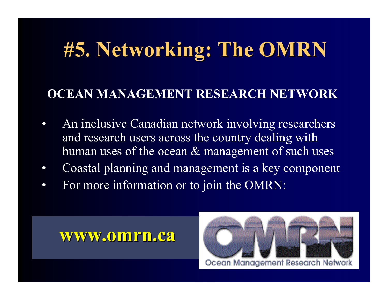## **#5. Networking: The OMRN #5. Networking: The OMRN**

#### **OCEAN MANAGEMENT RESEARCH NETWORK**

- $\bullet$  An inclusive Canadian network involving researchers and research users across the country dealing with human uses of the ocean & management of such uses
- $\bullet$ Coastal planning and management is a key component
- $\bullet$ For more information or to join the OMRN:

#### **www.omrn.ca www.omrn.ca**